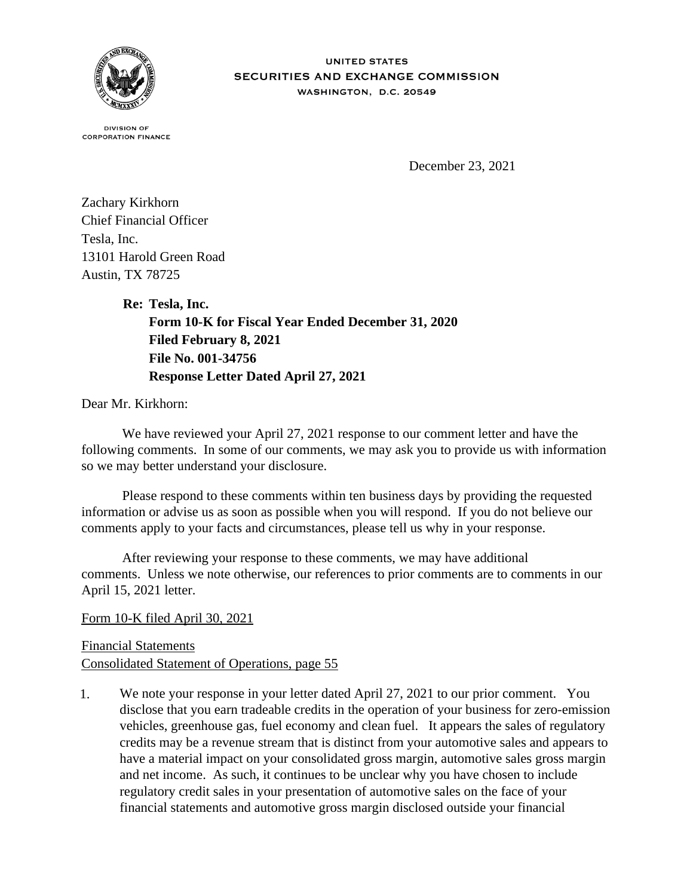

## **IINITED STATES** SECURITIES AND EXCHANGE COMMISSION WASHINGTON, D.C. 20549

**DIVISION OF CORPORATION FINANCE** 

December 23, 2021

Zachary Kirkhorn Chief Financial Officer Tesla, Inc. 13101 Harold Green Road Austin, TX 78725

> **Re: Tesla, Inc. Form 10-K for Fiscal Year Ended December 31, 2020 Filed February 8, 2021 File No. 001-34756 Response Letter Dated April 27, 2021**

Dear Mr. Kirkhorn:

 We have reviewed your April 27, 2021 response to our comment letter and have the following comments. In some of our comments, we may ask you to provide us with information so we may better understand your disclosure.

 Please respond to these comments within ten business days by providing the requested information or advise us as soon as possible when you will respond. If you do not believe our comments apply to your facts and circumstances, please tell us why in your response.

 After reviewing your response to these comments, we may have additional comments. Unless we note otherwise, our references to prior comments are to comments in our April 15, 2021 letter.

Form 10-K filed April 30, 2021

Financial Statements Consolidated Statement of Operations, page 55

1. We note your response in your letter dated April 27, 2021 to our prior comment. You disclose that you earn tradeable credits in the operation of your business for zero-emission vehicles, greenhouse gas, fuel economy and clean fuel. It appears the sales of regulatory credits may be a revenue stream that is distinct from your automotive sales and appears to have a material impact on your consolidated gross margin, automotive sales gross margin and net income. As such, it continues to be unclear why you have chosen to include regulatory credit sales in your presentation of automotive sales on the face of your financial statements and automotive gross margin disclosed outside your financial